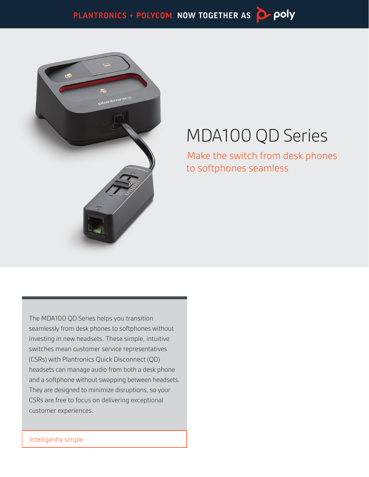

# MDA100 QD Series

Make the switch from desk phones to softphones seamless

The MDA100 QD Series helps you transition seamlessly from desk phones to softphones without investing in new headsets. These simple, intuitive switches mean customer service representatives (CSRs) with Plantronics Quick Disconnect (QD) headsets can manage audio from both a desk phone and a softphone without swapping between headsets. They are designed to minimize disruptions, so your CSRs are free to focus on delivering exceptional customer experiences.

Intelligently simple